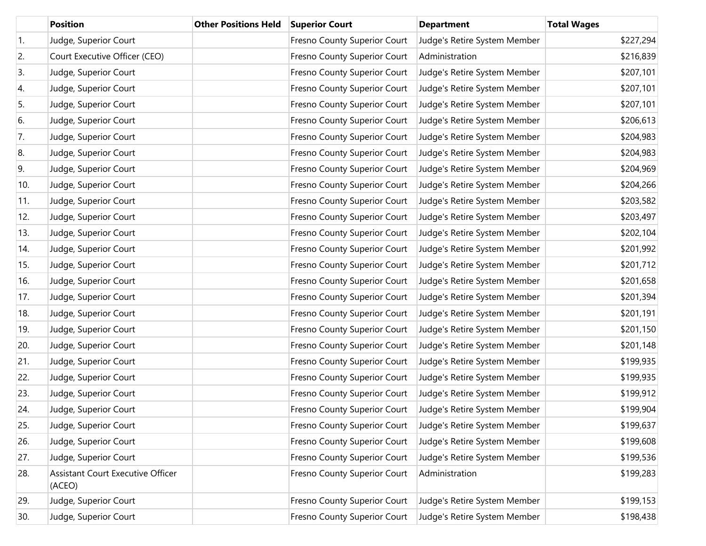|     | <b>Position</b>                                    | <b>Other Positions Held</b> | <b>Superior Court</b>        | <b>Department</b>            | <b>Total Wages</b> |
|-----|----------------------------------------------------|-----------------------------|------------------------------|------------------------------|--------------------|
| 1.  | Judge, Superior Court                              |                             | Fresno County Superior Court | Judge's Retire System Member | \$227,294          |
| 2.  | Court Executive Officer (CEO)                      |                             | Fresno County Superior Court | Administration               | \$216,839          |
| 3.  | Judge, Superior Court                              |                             | Fresno County Superior Court | Judge's Retire System Member | \$207,101          |
| 4.  | Judge, Superior Court                              |                             | Fresno County Superior Court | Judge's Retire System Member | \$207,101          |
| 5.  | Judge, Superior Court                              |                             | Fresno County Superior Court | Judge's Retire System Member | \$207,101          |
| 6.  | Judge, Superior Court                              |                             | Fresno County Superior Court | Judge's Retire System Member | \$206,613          |
| 7.  | Judge, Superior Court                              |                             | Fresno County Superior Court | Judge's Retire System Member | \$204,983          |
| 8.  | Judge, Superior Court                              |                             | Fresno County Superior Court | Judge's Retire System Member | \$204,983          |
| 9.  | Judge, Superior Court                              |                             | Fresno County Superior Court | Judge's Retire System Member | \$204,969          |
| 10. | Judge, Superior Court                              |                             | Fresno County Superior Court | Judge's Retire System Member | \$204,266          |
| 11. | Judge, Superior Court                              |                             | Fresno County Superior Court | Judge's Retire System Member | \$203,582          |
| 12. | Judge, Superior Court                              |                             | Fresno County Superior Court | Judge's Retire System Member | \$203,497          |
| 13. | Judge, Superior Court                              |                             | Fresno County Superior Court | Judge's Retire System Member | \$202,104          |
| 14. | Judge, Superior Court                              |                             | Fresno County Superior Court | Judge's Retire System Member | \$201,992          |
| 15. | Judge, Superior Court                              |                             | Fresno County Superior Court | Judge's Retire System Member | \$201,712          |
| 16. | Judge, Superior Court                              |                             | Fresno County Superior Court | Judge's Retire System Member | \$201,658          |
| 17. | Judge, Superior Court                              |                             | Fresno County Superior Court | Judge's Retire System Member | \$201,394          |
| 18. | Judge, Superior Court                              |                             | Fresno County Superior Court | Judge's Retire System Member | \$201,191          |
| 19. | Judge, Superior Court                              |                             | Fresno County Superior Court | Judge's Retire System Member | \$201,150          |
| 20. | Judge, Superior Court                              |                             | Fresno County Superior Court | Judge's Retire System Member | \$201,148          |
| 21. | Judge, Superior Court                              |                             | Fresno County Superior Court | Judge's Retire System Member | \$199,935          |
| 22. | Judge, Superior Court                              |                             | Fresno County Superior Court | Judge's Retire System Member | \$199,935          |
| 23. | Judge, Superior Court                              |                             | Fresno County Superior Court | Judge's Retire System Member | \$199,912          |
| 24. | Judge, Superior Court                              |                             | Fresno County Superior Court | Judge's Retire System Member | \$199,904          |
| 25. | Judge, Superior Court                              |                             | Fresno County Superior Court | Judge's Retire System Member | \$199,637          |
| 26. | Judge, Superior Court                              |                             | Fresno County Superior Court | Judge's Retire System Member | \$199,608          |
| 27. | Judge, Superior Court                              |                             | Fresno County Superior Court | Judge's Retire System Member | \$199,536          |
| 28. | <b>Assistant Court Executive Officer</b><br>(ACEO) |                             | Fresno County Superior Court | Administration               | \$199,283          |
| 29. | Judge, Superior Court                              |                             | Fresno County Superior Court | Judge's Retire System Member | \$199,153          |
| 30. | Judge, Superior Court                              |                             | Fresno County Superior Court | Judge's Retire System Member | \$198,438          |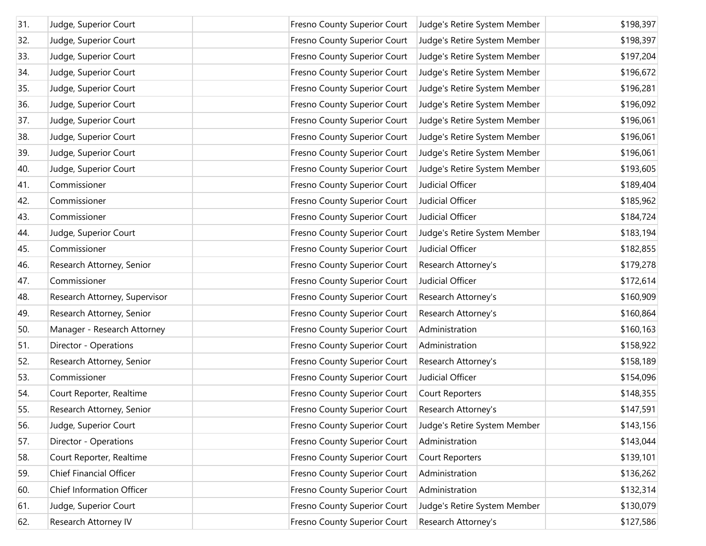| 31. | Judge, Superior Court         | Fresno County Superior Court | Judge's Retire System Member | \$198,397 |
|-----|-------------------------------|------------------------------|------------------------------|-----------|
| 32. | Judge, Superior Court         | Fresno County Superior Court | Judge's Retire System Member | \$198,397 |
| 33. | Judge, Superior Court         | Fresno County Superior Court | Judge's Retire System Member | \$197,204 |
| 34. | Judge, Superior Court         | Fresno County Superior Court | Judge's Retire System Member | \$196,672 |
| 35. | Judge, Superior Court         | Fresno County Superior Court | Judge's Retire System Member | \$196,281 |
| 36. | Judge, Superior Court         | Fresno County Superior Court | Judge's Retire System Member | \$196,092 |
| 37. | Judge, Superior Court         | Fresno County Superior Court | Judge's Retire System Member | \$196,061 |
| 38. | Judge, Superior Court         | Fresno County Superior Court | Judge's Retire System Member | \$196,061 |
| 39. | Judge, Superior Court         | Fresno County Superior Court | Judge's Retire System Member | \$196,061 |
| 40. | Judge, Superior Court         | Fresno County Superior Court | Judge's Retire System Member | \$193,605 |
| 41. | Commissioner                  | Fresno County Superior Court | Judicial Officer             | \$189,404 |
| 42. | Commissioner                  | Fresno County Superior Court | Judicial Officer             | \$185,962 |
| 43. | Commissioner                  | Fresno County Superior Court | Judicial Officer             | \$184,724 |
| 44. | Judge, Superior Court         | Fresno County Superior Court | Judge's Retire System Member | \$183,194 |
| 45. | Commissioner                  | Fresno County Superior Court | Judicial Officer             | \$182,855 |
| 46. | Research Attorney, Senior     | Fresno County Superior Court | Research Attorney's          | \$179,278 |
| 47. | Commissioner                  | Fresno County Superior Court | Judicial Officer             | \$172,614 |
| 48. | Research Attorney, Supervisor | Fresno County Superior Court | Research Attorney's          | \$160,909 |
| 49. | Research Attorney, Senior     | Fresno County Superior Court | Research Attorney's          | \$160,864 |
| 50. | Manager - Research Attorney   | Fresno County Superior Court | Administration               | \$160,163 |
| 51. | Director - Operations         | Fresno County Superior Court | Administration               | \$158,922 |
| 52. | Research Attorney, Senior     | Fresno County Superior Court | Research Attorney's          | \$158,189 |
| 53. | Commissioner                  | Fresno County Superior Court | Judicial Officer             | \$154,096 |
| 54. | Court Reporter, Realtime      | Fresno County Superior Court | Court Reporters              | \$148,355 |
| 55. | Research Attorney, Senior     | Fresno County Superior Court | Research Attorney's          | \$147,591 |
| 56. | Judge, Superior Court         | Fresno County Superior Court | Judge's Retire System Member | \$143,156 |
| 57. | Director - Operations         | Fresno County Superior Court | Administration               | \$143,044 |
| 58. | Court Reporter, Realtime      | Fresno County Superior Court | Court Reporters              | \$139,101 |
| 59. | Chief Financial Officer       | Fresno County Superior Court | Administration               | \$136,262 |
| 60. | Chief Information Officer     | Fresno County Superior Court | Administration               | \$132,314 |
| 61. | Judge, Superior Court         | Fresno County Superior Court | Judge's Retire System Member | \$130,079 |
| 62. | Research Attorney IV          | Fresno County Superior Court | Research Attorney's          | \$127,586 |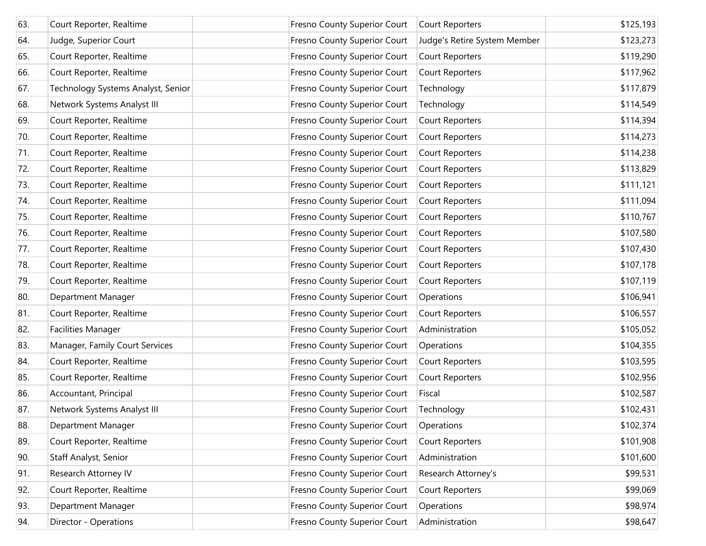| 63. | Court Reporter, Realtime           | Fresno County Superior Court | Court Reporters              | \$125,193 |
|-----|------------------------------------|------------------------------|------------------------------|-----------|
| 64. | Judge, Superior Court              | Fresno County Superior Court | Judge's Retire System Member | \$123,273 |
| 65. | Court Reporter, Realtime           | Fresno County Superior Court | Court Reporters              | \$119,290 |
| 66. | Court Reporter, Realtime           | Fresno County Superior Court | Court Reporters              | \$117,962 |
| 67. | Technology Systems Analyst, Senior | Fresno County Superior Court | Technology                   | \$117,879 |
| 68. | Network Systems Analyst III        | Fresno County Superior Court | Technology                   | \$114,549 |
| 69. | Court Reporter, Realtime           | Fresno County Superior Court | Court Reporters              | \$114,394 |
| 70. | Court Reporter, Realtime           | Fresno County Superior Court | Court Reporters              | \$114,273 |
| 71. | Court Reporter, Realtime           | Fresno County Superior Court | Court Reporters              | \$114,238 |
| 72. | Court Reporter, Realtime           | Fresno County Superior Court | Court Reporters              | \$113,829 |
| 73. | Court Reporter, Realtime           | Fresno County Superior Court | Court Reporters              | \$111,121 |
| 74. | Court Reporter, Realtime           | Fresno County Superior Court | Court Reporters              | \$111,094 |
| 75. | Court Reporter, Realtime           | Fresno County Superior Court | Court Reporters              | \$110,767 |
| 76. | Court Reporter, Realtime           | Fresno County Superior Court | Court Reporters              | \$107,580 |
| 77. | Court Reporter, Realtime           | Fresno County Superior Court | Court Reporters              | \$107,430 |
| 78. | Court Reporter, Realtime           | Fresno County Superior Court | Court Reporters              | \$107,178 |
| 79. | Court Reporter, Realtime           | Fresno County Superior Court | Court Reporters              | \$107,119 |
| 80. | Department Manager                 | Fresno County Superior Court | Operations                   | \$106,941 |
| 81. | Court Reporter, Realtime           | Fresno County Superior Court | Court Reporters              | \$106,557 |
| 82. | <b>Facilities Manager</b>          | Fresno County Superior Court | Administration               | \$105,052 |
| 83. | Manager, Family Court Services     | Fresno County Superior Court | Operations                   | \$104,355 |
| 84. | Court Reporter, Realtime           | Fresno County Superior Court | Court Reporters              | \$103,595 |
| 85. | Court Reporter, Realtime           | Fresno County Superior Court | Court Reporters              | \$102,956 |
| 86. | Accountant, Principal              | Fresno County Superior Court | Fiscal                       | \$102,587 |
| 87. | Network Systems Analyst III        | Fresno County Superior Court | Technology                   | \$102,431 |
| 88. | Department Manager                 | Fresno County Superior Court | Operations                   | \$102,374 |
| 89. | Court Reporter, Realtime           | Fresno County Superior Court | Court Reporters              | \$101,908 |
| 90. | Staff Analyst, Senior              | Fresno County Superior Court | Administration               | \$101,600 |
| 91. | Research Attorney IV               | Fresno County Superior Court | Research Attorney's          | \$99,531  |
| 92. | Court Reporter, Realtime           | Fresno County Superior Court | Court Reporters              | \$99,069  |
| 93. | Department Manager                 | Fresno County Superior Court | Operations                   | \$98,974  |
| 94. | Director - Operations              | Fresno County Superior Court | Administration               | \$98,647  |